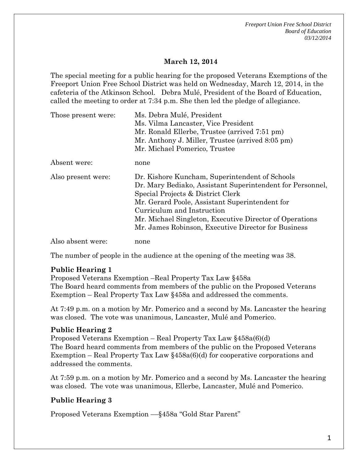*Freeport Union Free School District Board of Education 03/12/2014*

## **March 12, 2014**

The special meeting for a public hearing for the proposed Veterans Exemptions of the Freeport Union Free School District was held on Wednesday, March 12, 2014, in the cafeteria of the Atkinson School. Debra Mulé, President of the Board of Education, called the meeting to order at 7:34 p.m. She then led the pledge of allegiance.

| Those present were: | Ms. Debra Mulé, President                                 |
|---------------------|-----------------------------------------------------------|
|                     | Ms. Vilma Lancaster, Vice President                       |
|                     | Mr. Ronald Ellerbe, Trustee (arrived 7:51 pm)             |
|                     | Mr. Anthony J. Miller, Trustee (arrived 8:05 pm)          |
|                     | Mr. Michael Pomerico, Trustee                             |
| Absent were:        | none                                                      |
| Also present were:  | Dr. Kishore Kuncham, Superintendent of Schools            |
|                     | Dr. Mary Bediako, Assistant Superintendent for Personnel, |
|                     | Special Projects & District Clerk                         |
|                     | Mr. Gerard Poole, Assistant Superintendent for            |
|                     | Curriculum and Instruction                                |
|                     | Mr. Michael Singleton, Executive Director of Operations   |
|                     | Mr. James Robinson, Executive Director for Business       |
| Also absent were:   | none                                                      |

The number of people in the audience at the opening of the meeting was 38.

### **Public Hearing 1**

Proposed Veterans Exemption –Real Property Tax Law §458a The Board heard comments from members of the public on the Proposed Veterans Exemption – Real Property Tax Law §458a and addressed the comments.

At 7:49 p.m. on a motion by Mr. Pomerico and a second by Ms. Lancaster the hearing was closed. The vote was unanimous, Lancaster, Mulé and Pomerico.

### **Public Hearing 2**

Proposed Veterans Exemption – Real Property Tax Law §458a(6)(d) The Board heard comments from members of the public on the Proposed Veterans Exemption – Real Property Tax Law §458a(6)(d) for cooperative corporations and addressed the comments.

At 7:59 p.m. on a motion by Mr. Pomerico and a second by Ms. Lancaster the hearing was closed. The vote was unanimous, Ellerbe, Lancaster, Mulé and Pomerico.

# **Public Hearing 3**

Proposed Veterans Exemption ––§458a "Gold Star Parent"